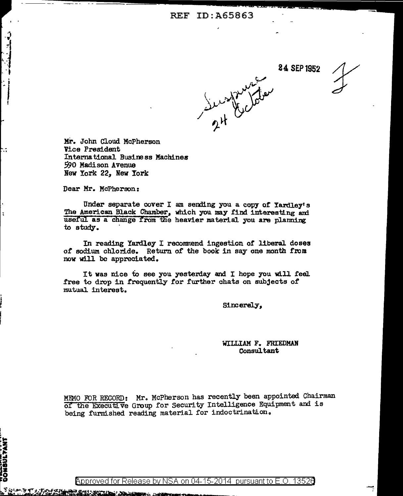24 SEP1952



Mi-. John Cloud McPherson Vice President International Business Machines 590 Madison Avenue New York 22, New York

Dear Mr. McPherson:

**AP AGUS ALLIE** 

.<br>Statistica

.. -

**DONSULTANT** 

Under separate cover I am sending you a copy of Yardlev's The American Black Chamber, which you may find interesting and useful as a change from the heavier material you are planning *to* study. ·

In reading Yardley I recommend ingestion of liberal doses of sodium chloride. Return of the book in say one month from now will be appreciated.

It was nice to see you yesterday and I hope you will feel free to drop in frequently for further chats on subjects of mutual interest.

Sincerely,

## WILLIAM F. FRIEDMAN Consultant

MEMO FOR RECORD: Mr. McPherson has recently been appointed Chairman of the Executive Group for Security Intelligence Equipment and is being furnished reading material for indoctrination.

<code>Approved</code> for Release by NSA on 04-15-2014  $\,$  pursuant to E.O. 13526  $\,$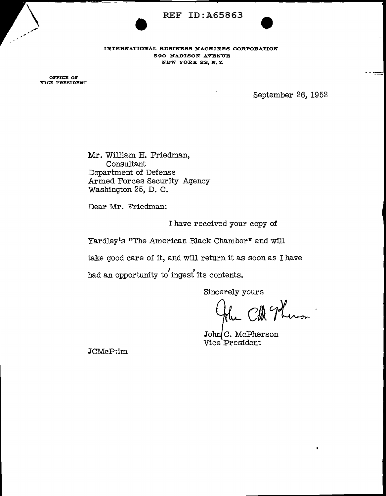

INTERNATIONAL BUSINESS MACHINES CORPORATION l590 MADISON AVENUE NEW YORK 22, N. Y.

OFFICE OF VICE PRESIDENT

September 26, 1952

Mr. William H. Friedman, Consultant Department of Defense Armed Forces Security Agency Washington 25, D. C.

Dear Mr. Friedman:

I have received your copy of

Yardley's "The American Black Chamber" and will

take good care of it, and will return it as soon as I have

had an opportunity to ingest its contents.

Sincerely yours

Cla Thermon

John C. McPherson Vice President

JCMcP:im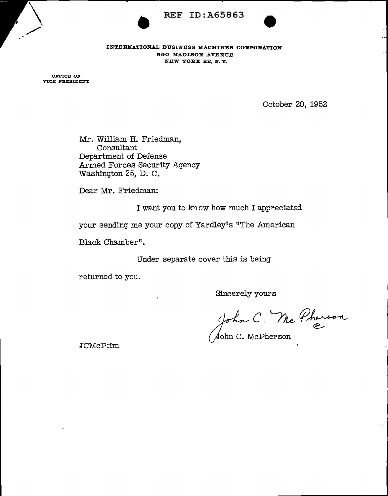

REF ID:A65863 590 MADISON AVENUE NEW YORK 22, N. Y.

OFFICE OF VICE PRESIDENT

October 20, 1952

Mr. William H. Friedman, Consultant Department of Defense Armed Forces Security Agency Washington 25, D. C.

Dear Mr. Friedman:

I want you to kn ow how much I appreciated

your sending me your copy of Yardley's "The American

Black Chamber".

Under separate cover this is being

returned to you.

Sincerely yours

John C. Mc Pherson

 $\bigtriangleup$ ohn C. McPherson

JCMcP:im